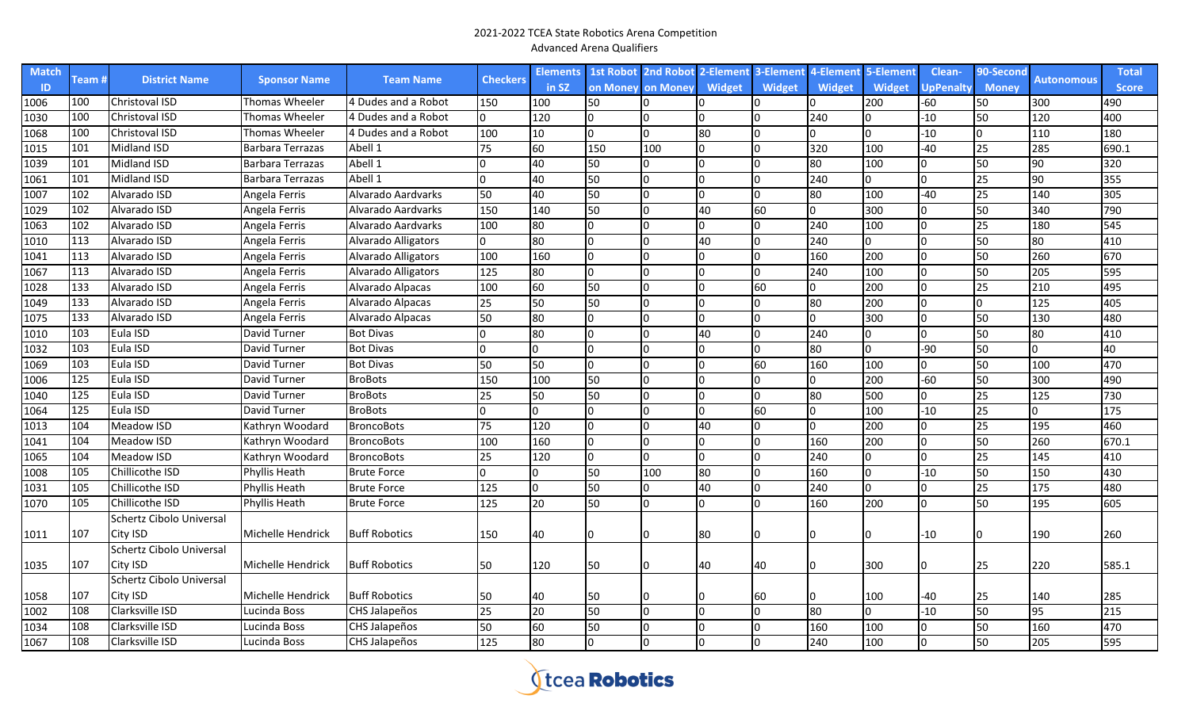| <b>Match</b>  |                  |                          |                         | <b>Team Name</b>     |                 | <b>Elements</b> | <b>1st Robot 2nd Robot</b> |              | 2-Element 3-Element |        | 4-Element     | 5-Element     | Clean-    | 90-Second    |                   | <b>Total</b> |
|---------------|------------------|--------------------------|-------------------------|----------------------|-----------------|-----------------|----------------------------|--------------|---------------------|--------|---------------|---------------|-----------|--------------|-------------------|--------------|
| -ID           | Team #           | <b>District Name</b>     | <b>Sponsor Name</b>     |                      | <b>Checkers</b> | in SZ           | on Money on Money          |              | <b>Widget</b>       | Widget | <b>Widget</b> | <b>Widget</b> | UpPenalty | <b>Money</b> | <b>Autonomous</b> | <b>Score</b> |
| 1006          | 100              | Christoval ISD           | Thomas Wheeler          | 4 Dudes and a Robot  | 150             | 100             | 50                         |              |                     |        | n             | 200           | $-60$     | 50           | 300               | 490          |
| 1030          | 100              | Christoval ISD           | Thomas Wheeler          | 4 Dudes and a Robot  | l0              | 120             | $\Omega$                   |              | I٥                  | l0     | 240           | <sup>0</sup>  | $-10$     | 50           | 120               | 400          |
| 1068          | 100              | Christoval ISD           | Thomas Wheeler          | 4 Dudes and a Robot  | 100             | 10              | $\Omega$                   | $\Omega$     | 80                  | l0     | 0             | <sup>0</sup>  | $-10$     | $\Omega$     | 110               | 180          |
| 1015          | 101              | <b>Midland ISD</b>       | <b>Barbara Terrazas</b> | Abell 1              | 75              | 60              | 150                        | 100          | I٥                  | l0     | 320           | 100           | 40        | 25           | 285               | 690.1        |
| $\sqrt{1039}$ | 101              | <b>Midland ISD</b>       | <b>Barbara Terrazas</b> | Abell 1              | 0               | 40              | 50                         | <sup>0</sup> | lo                  | l0     | 80            | 100           |           | 50           | 90                | 320          |
| 1061          | 101              | <b>Midland ISD</b>       | Barbara Terrazas        | Abell 1              | I0              | 40              | 50                         | In.          | Iо                  | 0      | 240           | 0             |           | 25           | 90                | 355          |
| 1007          | 102              | Alvarado ISD             | Angela Ferris           | Alvarado Aardvarks   | 50              | 40              | 50                         | l0.          | Ιo                  | lo.    | 80            | 100           | 40        | 25           | 140               | 305          |
| 1029          | 102              | Alvarado ISD             | Angela Ferris           | Alvarado Aardvarks   | 150             | 140             | 50                         | In.          | 40                  | 60     | 0             | 300           |           | 50           | 340               | 790          |
| 1063          | 102              | Alvarado ISD             | Angela Ferris           | Alvarado Aardvarks   | 100             | 80              | I٥                         | n.           | I٥                  | lo.    | 240           | 100           |           | 25           | 180               | 545          |
| 1010          | 113              | Alvarado ISD             | Angela Ferris           | Alvarado Alligators  | Io.             | 80              | l0                         | n.           | 40                  | l0     | 240           | $\Omega$      |           | 50           | 80                | 410          |
| 1041          | $\overline{113}$ | Alvarado ISD             | Angela Ferris           | Alvarado Alligators  | 100             | 160             | l0                         |              | I٥                  | 0      | 160           | 200           |           | 50           | 260               | 670          |
| 1067          | 113              | Alvarado ISD             | Angela Ferris           | Alvarado Alligators  | 125             | 80              | $\Omega$                   | n.           | I٥                  | lo.    | 240           | 100           |           | 50           | 205               | 595          |
| 1028          | 133              | Alvarado ISD             | Angela Ferris           | Alvarado Alpacas     | 100             | 60              | 50                         |              | I٥                  | 60     | 0             | 200           |           | 25           | 210               | 495          |
| 1049          | 133              | Alvarado ISD             | Angela Ferris           | Alvarado Alpacas     | 25              | 50              | 50                         |              | I٥                  | l0     | 80            | 200           |           |              | 125               | 405          |
| 1075          | 133              | Alvarado ISD             | Angela Ferris           | Alvarado Alpacas     | 50              | 80              | $\Omega$                   |              | lo                  | l0     | 0             | 300           |           | 50           | 130               | 480          |
| 1010          | 103              | Eula ISD                 | David Turner            | <b>Bot Divas</b>     | l0.             | 80              | l0                         | n.           | 40                  | l0     | 240           | n             |           | 50           | 80                | 410          |
| 1032          | 103              | Eula ISD                 | David Turner            | <b>Bot Divas</b>     | 0               |                 | $\Omega$                   | n.           | Io                  | 0      | 80            | 0             | -90       | 50           | $\Omega$          | 40           |
| 1069          | 103              | Eula ISD                 | David Turner            | <b>Bot Divas</b>     | 50              | 50              | I٥                         | n.           | Iо                  | 60     | 160           | 100           |           | 50           | 100               | 470          |
| 1006          | 125              | Eula ISD                 | David Turner            | <b>BroBots</b>       | 150             | 100             | 50                         | n.           | lo                  | l0     | 0             | 200           | $-60$     | 50           | 300               | 490          |
| 1040          | 125              | Eula ISD                 | David Turner            | <b>BroBots</b>       | 25              | 50              | 50                         | n.           | Io                  | l0     | 80            | 500           |           | 25           | 125               | 730          |
| 1064          | 125              | Eula ISD                 | David Turner            | <b>BroBots</b>       | l0.             |                 | I٥                         | n            | Io.                 | 60     | 0             | 100           | $-10$     | 25           | n.                | 175          |
| 1013          | 104              | Meadow ISD               | Kathryn Woodard         | <b>BroncoBots</b>    | 75              | 120             | l0                         | n.           | 40                  | 0      | 0             | 200           |           | 25           | 195               | 460          |
| 1041          | 104              | Meadow ISD               | Kathryn Woodard         | <b>BroncoBots</b>    | 100             | 160             | I٥                         | n            | I٥                  | lo.    | 160           | 200           |           | 50           | 260               | 670.1        |
| 1065          | 104              | Meadow ISD               | Kathryn Woodard         | <b>BroncoBots</b>    | 25              | 120             | $\Omega$                   | n.           | I٥                  | l0     | 240           | n             |           | 25           | 145               | 410          |
| 1008          | 105              | Chillicothe ISD          | Phyllis Heath           | <b>Brute Force</b>   | 0               |                 | 50                         | 100          | 80                  | l0     | 160           | <sup>0</sup>  | $-10$     | 50           | 150               | 430          |
| 1031          | 105              | Chillicothe ISD          | Phyllis Heath           | <b>Brute Force</b>   | 125             |                 | 50                         | <sup>0</sup> | 40                  | l0     | 240           | <sup>0</sup>  |           | 25           | 175               | 480          |
| 1070          | 105              | Chillicothe ISD          | <b>Phyllis Heath</b>    | <b>Brute Force</b>   | 125             | 20              | 50                         | n.           | Ιo                  | l0     | 160           | 200           |           | 50           | 195               | 605          |
|               |                  | Schertz Cibolo Universal |                         |                      |                 |                 |                            |              |                     |        |               |               |           |              |                   |              |
| 1011          | 107              | City ISD                 | Michelle Hendrick       | <b>Buff Robotics</b> | 150             | 40              | l0                         |              | 80                  | 10     |               |               | $-10$     |              | 190               | 260          |
|               |                  | Schertz Cibolo Universal |                         |                      |                 |                 |                            |              |                     |        |               |               |           |              |                   |              |
| 1035          | 107              | City ISD                 | Michelle Hendrick       | <b>Buff Robotics</b> | 50              | 120             | 50                         |              | 40                  | 40     | 0             | 300           |           | 25           | 220               | 585.1        |
|               |                  | Schertz Cibolo Universal |                         |                      |                 |                 |                            |              |                     |        |               |               |           |              |                   |              |
| 1058          | 107              | City ISD                 | Michelle Hendrick       | <b>Buff Robotics</b> | 50              | 40              | 50                         |              |                     | 60     |               | 100           | -40       | 25           | 140               | 285          |
| 1002          | 108              | Clarksville ISD          | Lucinda Boss            | CHS Jalapeños        | 25              | 20              | 50                         | n            | lo                  | 0      | 80            | n             | $-10$     | 50           | 95                | 215          |
| 1034          | 108              | Clarksville ISD          | Lucinda Boss            | CHS Jalapeños        | 50              | 60              | 50                         |              | I٥                  | l0     | 160           | 100           |           | 50           | 160               | 470          |
| 1067          | 108              | Clarksville ISD          | Lucinda Boss            | CHS Jalapeños        | 125             | 80              | l0                         | $\Omega$     | lo                  | l0     | 240           | 100           |           | 50           | 205               | 595          |

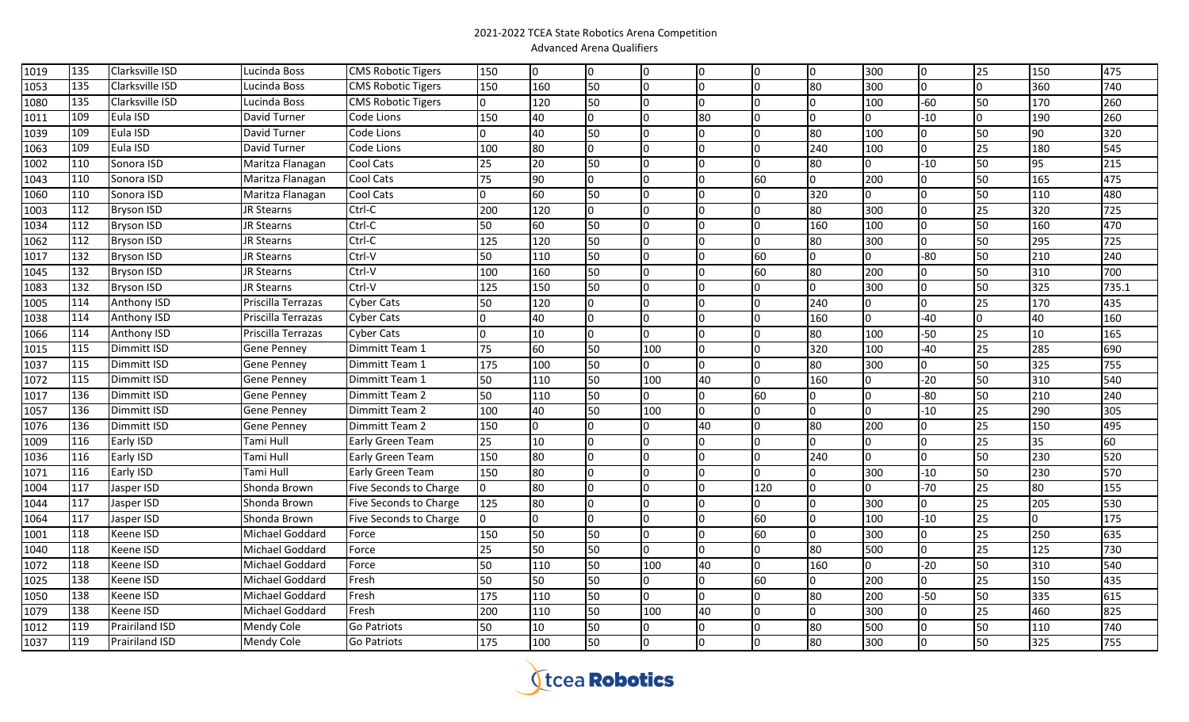| 1019             | 135              | Clarksville ISD       | Lucinda Boss       | <b>CMS Robotic Tigers</b> | 150 | $\overline{0}$ | IО           |          | I٥ | Iо             | l0       | 300      | Io             | 25 | 150              | 475   |
|------------------|------------------|-----------------------|--------------------|---------------------------|-----|----------------|--------------|----------|----|----------------|----------|----------|----------------|----|------------------|-------|
| 1053             | $\overline{135}$ | Clarksville ISD       | Lucinda Boss       | <b>CMS Robotic Tigers</b> | 150 | 160            | 50           |          |    | lo.            | 80       | 300      | <sup>0</sup>   |    | 360              | 740   |
| 1080             | 135              | Clarksville ISD       | Lucinda Boss       | <b>CMS Robotic Tigers</b> | lo. | 120            | 50           |          |    | $\overline{0}$ | I٥       | 100      | $-60$          | 50 | 170              | 260   |
| 1011             | 109              | Eula ISD              | David Turner       | Code Lions                | 150 | 40             |              |          | 80 | 0              | I٥       |          | -10            |    | 190              | 260   |
| 1039             | 109              | Eula ISD              | David Turner       | Code Lions                | n.  | 40             | 50           |          |    | l0             | 80       | 100      | $\Omega$       | 50 | 90               | 320   |
| 1063             | 109              | Eula ISD              | David Turner       | Code Lions                | 100 | 80             |              |          |    | l0             | 240      | 100      | $\Omega$       | 25 | 180              | 545   |
| 1002             | 110              | Sonora ISD            | Maritza Flanagan   | Cool Cats                 | 25  | 20             | 50           |          |    | l0             | 80       |          | $-10$          | 50 | 95               | 215   |
| 1043             | 110              | Sonora ISD            | Maritza Flanagan   | <b>Cool Cats</b>          | 75  | 90             |              |          |    | 60             | $\Omega$ | 200      |                | 50 | 165              | 475   |
| 1060             | 110              | Sonora ISD            | Maritza Flanagan   | <b>Cool Cats</b>          | lo. | 60             | 50           | l0.      |    | l0             | 320      | $\Omega$ |                | 50 | 110              | 480   |
| 1003             | 112              | <b>Bryson ISD</b>     | JR Stearns         | Ctrl-C                    | 200 | 120            |              | In       |    | l0             | 80       | 300      | $\Omega$       | 25 | 320              | 725   |
| 1034             | 112              | <b>Bryson ISD</b>     | JR Stearns         | Ctrl-C                    | 50  | 60             | 50           |          |    | 0              | 160      | 100      | <sup>0</sup>   | 50 | 160              | 470   |
| 1062             | 112              | <b>Bryson ISD</b>     | JR Stearns         | Ctrl-C                    | 125 | 120            | 50           |          |    | l0             | 80       | 300      | 0              | 50 | $\overline{295}$ | 725   |
| 1017             | 132              | <b>Bryson ISD</b>     | JR Stearns         | Ctrl-V                    | 50  | 110            | 50           |          |    | 60             | l0       | U        | -80            | 50 | 210              | 240   |
| 1045             | 132              | <b>Bryson ISD</b>     | JR Stearns         | Ctrl-V                    | 100 | 160            | 50           |          |    | 60             | 80       | 200      | <sup>0</sup>   | 50 | 310              | 700   |
| 1083             | 132              | <b>Bryson ISD</b>     | <b>JR Stearns</b>  | Ctrl-V                    | 125 | 150            | 50           |          |    | l0             | l0.      | 300      | <sup>0</sup>   | 50 | 325              | 735.1 |
| 1005             | 114              | Anthony ISD           | Priscilla Terrazas | Cyber Cats                | 50  | 120            |              |          |    | lo.            | 240      |          | <sup>n</sup>   | 25 | 170              | 435   |
| 1038             | 114              | Anthony ISD           | Priscilla Terrazas | <b>Cyber Cats</b>         | lo. | 40             |              |          |    | l0             | 160      | $\Omega$ | $-40$          |    | 40               | 160   |
| 1066             | 114              | <b>Anthony ISD</b>    | Priscilla Terrazas | <b>Cyber Cats</b>         | I٥  | 10             | <sup>n</sup> |          |    | l0             | 80       | 100      | $-50$          | 25 | 10               | 165   |
| 1015             | 115              | Dimmitt ISD           | Gene Penney        | Dimmitt Team 1            | 75  | 60             | 50           | 100      | I٥ | l0             | 320      | 100      | $-40$          | 25 | 285              | 690   |
| 1037             | 115              | Dimmitt ISD           | Gene Penney        | Dimmitt Team 1            | 175 | 100            | 50           | $\Omega$ | I∩ | l0             | 80       | 300      | 0              | 50 | 325              | 755   |
| 1072             | 115              | Dimmitt ISD           | Gene Pennev        | Dimmitt Team 1            | 50  | 110            | 50           | 100      | 40 | l0             | 160      | 0        | -20            | 50 | 310              | 540   |
| 1017             | 136              | Dimmitt ISD           | Gene Pennev        | Dimmitt Team 2            | 50  | 110            | 50           |          |    | 60             | l0       |          | $-80$          | 50 | 210              | 240   |
| 1057             | 136              | Dimmitt ISD           | Gene Penney        | Dimmitt Team 2            | 100 | 40             | 50           | 100      |    | 0              | 10       |          | $-10$          | 25 | 290              | 305   |
| 1076             | 136              | Dimmitt ISD           | Gene Penney        | Dimmitt Team 2            | 150 | 0              |              |          | 40 | Iо             | 80       | 200      | $\Omega$       | 25 | 150              | 495   |
| 1009             | 116              | Early ISD             | Tami Hull          | Early Green Team          | 25  | 10             |              |          |    | Iо             | l0       |          | n              | 25 | 35               | 60    |
| 1036             | 116              | Early ISD             | Tami Hull          | Early Green Team          | 150 | 80             |              |          |    | Iо             | 240      |          | 0              | 50 | 230              | 520   |
| 1071             | 116              | Early ISD             | Tami Hull          | Early Green Team          | 150 | 80             |              |          |    | 0              | l0       | 300      | $-10$          | 50 | 230              | 570   |
| 1004             | 117              | Jasper ISD            | Shonda Brown       | Five Seconds to Charge    | lo. | 80             |              |          |    | 120            | l0       |          | $-70$          | 25 | 80               | 155   |
| 1044             | 117              | Jasper ISD            | Shonda Brown       | Five Seconds to Charge    | 125 | 80             |              |          |    | l0             | l0       | 300      | $\Omega$       | 25 | 205              | 530   |
| 1064             | 117              | Jasper ISD            | Shonda Brown       | Five Seconds to Charge    | 10  | $\Omega$       |              |          |    | 60             | n.       | 100      | $-10$          | 25 |                  | 175   |
| $\frac{1}{1001}$ | 118              | Keene ISD             | Michael Goddard    | Force                     | 150 | 50             | 50           |          |    | 60             | l0       | 300      |                | 25 | 250              | 635   |
| 1040             | 118              | Keene ISD             | Michael Goddard    | Force                     | 25  | 50             | 50           | l0.      |    | lo.            | 80       | 500      |                | 25 | 125              | 730   |
| 1072             | 118              | Keene ISD             | Michael Goddard    | Force                     | 50  | 110            | 50           | 100      | 40 | l0             | 160      | 0        | $-20$          | 50 | 310              | 540   |
| 1025             | 138              | Keene ISD             | Michael Goddard    | Fresh                     | 50  | 50             | 50           | I٥       |    | 60             | l0       | 200      | l0             | 25 | 150              | 435   |
| 1050             | 138              | Keene ISD             | Michael Goddard    | Fresh                     | 175 | 110            | 50           |          |    | lo.            | 80       | 200      | $-50$          | 50 | 335              | 615   |
| 1079             | 138              | Keene ISD             | Michael Goddard    | Fresh                     | 200 | 110            | 50           | 100      | 40 | l0             | I٥       | 300      | 0              | 25 | 460              | 825   |
| 1012             | 119              | <b>Prairiland ISD</b> | Mendy Cole         | <b>Go Patriots</b>        | 50  | 10             | 50           |          |    | 0              | 80       | 500      | 0              | 50 | 110              | 740   |
| 1037             | 119              | Prairiland ISD        | Mendy Cole         | <b>Go Patriots</b>        | 175 | 100            | 50           |          |    | o              | 80       | 300      | $\overline{0}$ | 50 | 325              | 755   |

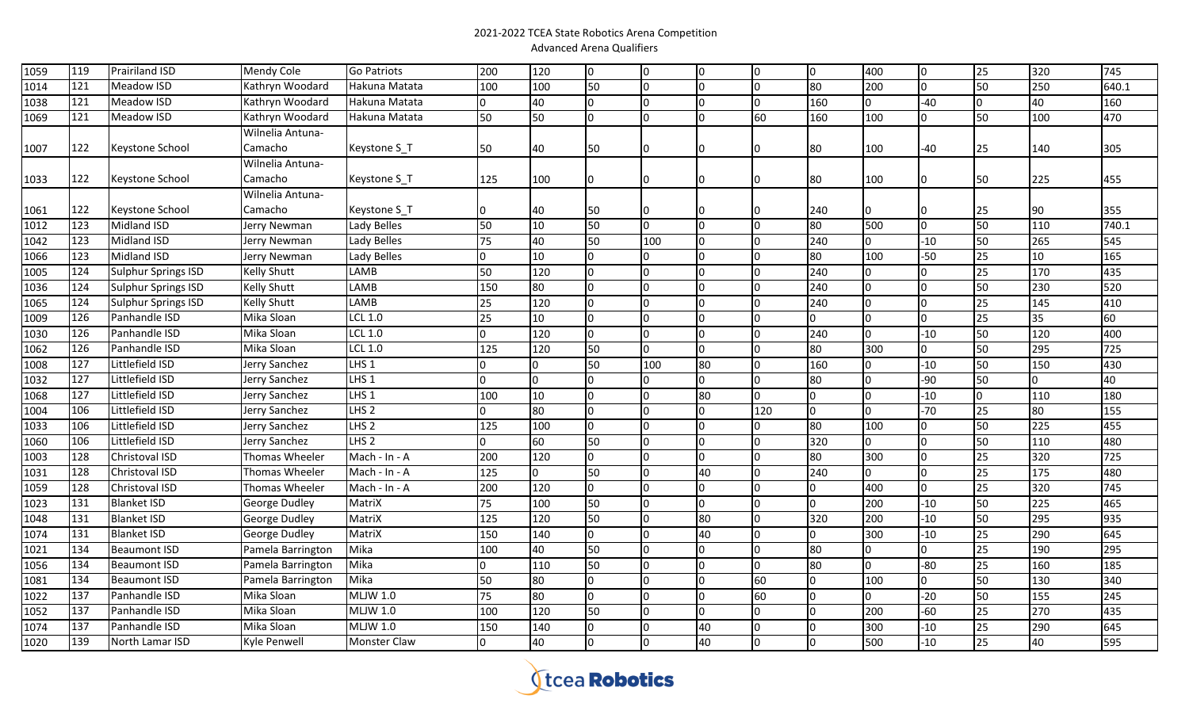| 1059 | 119 | Prairiland ISD             | <b>Mendy Cole</b>  | <b>Go Patriots</b>  | 200 | 120         | Io.            | $\overline{0}$ |     | <b>O</b> | Io.             | 400 | Io.          | 25  | 320 | 745   |
|------|-----|----------------------------|--------------------|---------------------|-----|-------------|----------------|----------------|-----|----------|-----------------|-----|--------------|-----|-----|-------|
| 1014 | 121 | Meadow ISD                 | Kathryn Woodard    | Hakuna Matata       | 100 | 100         | 50             | n              |     | lo.      | $\overline{80}$ | 200 | IO.          | 50  | 250 | 640.1 |
| 1038 | 121 | Meadow ISD                 | Kathryn Woodard    | Hakuna Matata       | 0   | 40          | $\Omega$       |                |     | 0        | 160             | l0  | $-40$        | I0. | 40  | 160   |
| 1069 | 121 | Meadow ISD                 | Kathryn Woodard    | Hakuna Matata       | 50  | 50          | $\Omega$       | l0             |     | 60       | 160             | 100 |              | 50  | 100 | 470   |
|      |     |                            | Wilnelia Antuna-   |                     |     |             |                |                |     |          |                 |     |              |     |     |       |
| 1007 | 122 | Keystone School            | Camacho            | Keystone S_T        | 50  | 40          | 50             |                |     | 0        | 80              | 100 | $-40$        | 25  | 140 | 305   |
|      |     |                            | Wilnelia Antuna-   |                     |     |             |                |                |     |          |                 |     |              |     |     |       |
| 1033 | 122 | Keystone School            | Camacho            | Keystone S_T        | 125 | 100         | 0              |                |     | 0        | 80              | 100 |              | 50  | 225 | 455   |
|      |     |                            | Wilnelia Antuna-   |                     |     |             |                |                |     |          |                 |     |              |     |     |       |
| 1061 | 122 | Keystone School            | Camacho            | Keystone S_T        | 0   | 40          | 50             |                |     | 0        | 240             | 10  |              | 25  | 90  | 355   |
| 1012 | 123 | <b>Midland ISD</b>         | Jerry Newman       | Lady Belles         | 50  | 10          | 50             | n.             |     | 0        | 80              | 500 | I∩           | 50  | 110 | 740.1 |
| 1042 | 123 | Midland ISD                | Jerry Newman       | Lady Belles         | 75  | 40          | 50             | 100            |     | 0        | 240             | l0  | $-10$        | 50  | 265 | 545   |
| 1066 | 123 | Midland ISD                | Jerry Newman       | Lady Belles         | 0   | 10          | $\Omega$       | n              |     | $\Omega$ | 80              | 100 | $-50$        | 25  | 10  | 165   |
| 1005 | 124 | Sulphur Springs ISD        | <b>Kelly Shutt</b> | LAMB                | 50  | 120         | $\Omega$       | n              |     | 0        | 240             | l0  | <sup>0</sup> | 25  | 170 | 435   |
| 1036 | 124 | Sulphur Springs ISD        | <b>Kelly Shutt</b> | LAMB                | 150 | 80          | $\Omega$       | n              |     | $\Omega$ | 240             | I٥  | n.           | 50  | 230 | 520   |
| 1065 | 124 | <b>Sulphur Springs ISD</b> | <b>Kelly Shutt</b> | LAMB                | 25  | 120         | $\Omega$       |                |     | 0        | 240             | l0  |              | 25  | 145 | 410   |
| 1009 | 126 | Panhandle ISD              | <b>Mika Sloan</b>  | <b>LCL 1.0</b>      | 25  | 10          | $\Omega$       |                |     | $\Omega$ | n.              | I٥  |              | 25  | 35  | 60    |
| 1030 | 126 | Panhandle ISD              | Mika Sloan         | LCL 1.0             | 0   | 120         | $\Omega$       |                |     | 0        | 240             | l0  | $-10$        | 50  | 120 | 400   |
| 1062 | 126 | Panhandle ISD              | Mika Sloan         | <b>LCL 1.0</b>      | 125 | 120         | 50             | $\Omega$       | I∩  | 0        | 80              | 300 | I٥           | 50  | 295 | 725   |
| 1008 | 127 | Littlefield ISD            | Jerry Sanchez      | LHS <sub>1</sub>    | l0  | 0           | 50             | 100            | 80  | l0       | 160             | 0   | $-10$        | 50  | 150 | 430   |
| 1032 | 127 | Littlefield ISD            | Jerry Sanchez      | $LHS$ 1             | 0   | 0           | O              | n              |     | I٥       | 80              | 0   | -90          | 50  | 0   | 40    |
| 1068 | 127 | Littlefield ISD            | Jerry Sanchez      | LHS <sub>1</sub>    | 100 | 10          | $\Omega$       |                | 180 | 0        | n.              | I٥  | $-10$        | I0. | 110 | 180   |
| 1004 | 106 | Littlefield ISD            | Jerry Sanchez      | LHS <sub>2</sub>    | 0   | 80          | 0              |                |     | 120      | n.              | l0  | $-70$        | 25  | 80  | 155   |
| 1033 | 106 | Littlefield ISD            | Jerry Sanchez      | LHS <sub>2</sub>    | 125 | 100         | $\Omega$       |                |     | 0        | 80              | 100 | <sup>o</sup> | 50  | 225 | 455   |
| 1060 | 106 | Littlefield ISD            | Jerry Sanchez      | LHS <sub>2</sub>    | 0   | 60          | 50             | ın             |     | 0        | 320             | l0  |              | 50  | 110 | 480   |
| 1003 | 128 | Christoval ISD             | Thomas Wheeler     | Mach - In - A       | 200 | 120         | 0              | n              |     | I٥       | 80              | 300 |              | 25  | 320 | 725   |
| 1031 | 128 | Christoval ISD             | Thomas Wheeler     | Mach - In - A       | 125 | $\mathbf 0$ | 50             |                | 40  | 0        | 240             | I٥  |              | 25  | 175 | 480   |
| 1059 | 128 | Christoval ISD             | Thomas Wheeler     | Mach - In - A       | 200 | 120         | $\Omega$       | n              |     | 0        | n.              | 400 |              | 25  | 320 | 745   |
| 1023 | 131 | <b>Blanket ISD</b>         | George Dudley      | MatriX              | 75  | 100         | 50             |                |     | 0        | n.              | 200 | $-10$        | 50  | 225 | 465   |
| 1048 | 131 | <b>Blanket ISD</b>         | George Dudley      | MatriX              | 125 | 120         | 50             | l <sub>0</sub> | 80  | 0        | 320             | 200 | $-10$        | 50  | 295 | 935   |
| 1074 | 131 | <b>Blanket ISD</b>         | George Dudley      | MatriX              | 150 | 140         | 0              | l0             | 40  | 0        | 0               | 300 | $-10$        | 25  | 290 | 645   |
| 1021 | 134 | <b>Beaumont ISD</b>        | Pamela Barrington  | Mika                | 100 | 40          | 50             | l <sub>0</sub> |     | 0        | 80              | l0  | n.           | 25  | 190 | 295   |
| 1056 | 134 | <b>Beaumont ISD</b>        | Pamela Barrington  | Mika                | l0. | 110         | 50             | l0             |     | 0        | 80              | l0  | -80          | 25  | 160 | 185   |
| 1081 | 134 | <b>Beaumont ISD</b>        | Pamela Barrington  | Mika                | 50  | 80          | $\overline{0}$ | l0             |     | 60       | IO.             | 100 | Io.          | 50  | 130 | 340   |
| 1022 | 137 | Panhandle ISD              | Mika Sloan         | <b>MLJW 1.0</b>     | 75  | 80          | $\overline{0}$ | n              |     | 60       | IO.             | I0  | $-20$        | 50  | 155 | 245   |
| 1052 | 137 | Panhandle ISD              | Mika Sloan         | <b>MLJW 1.0</b>     | 100 | 120         | 50             | n              |     | 0        | IN.             | 200 | $-60$        | 25  | 270 | 435   |
| 1074 | 137 | Panhandle ISD              | Mika Sloan         | <b>MLJW 1.0</b>     | 150 | 140         | $\Omega$       | n              | 40  | $\Omega$ | IN.             | 300 | $-10$        | 25  | 290 | 645   |
| 1020 | 139 | North Lamar ISD            | Kyle Penwell       | <b>Monster Claw</b> | 0   | 40          | 0              | $\overline{0}$ | 40  | 0        | n.              | 500 | $-10$        | 25  | 40  | 595   |

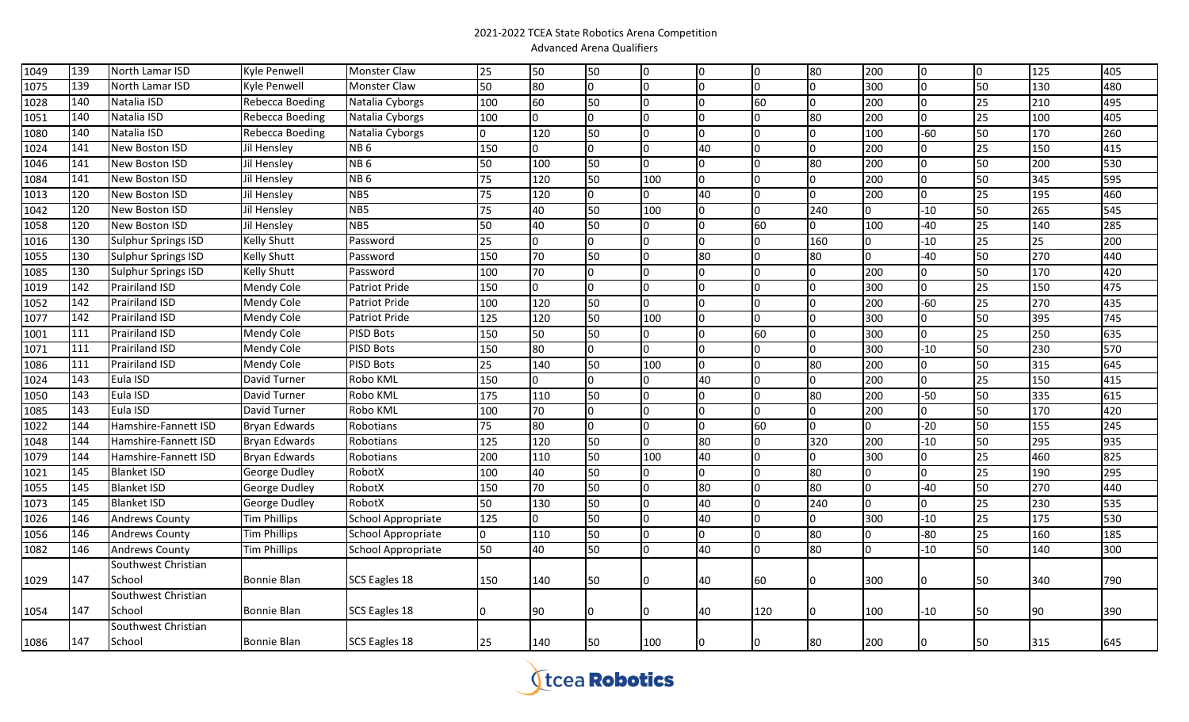| 1049 | 139 | North Lamar ISD            | Kyle Penwell         | <b>Monster Claw</b>       | 25  | 50             | 50           | l0  | Iо  | Iо  | 80             | 200      | Iо    | IO. | 125 | 405 |
|------|-----|----------------------------|----------------------|---------------------------|-----|----------------|--------------|-----|-----|-----|----------------|----------|-------|-----|-----|-----|
| 1075 | 139 | North Lamar ISD            | Kyle Penwell         | <b>Monster Claw</b>       | 50  | 80             | n            | I٥  | Iо  | lo. | 0              | 300      | l0.   | 50  | 130 | 480 |
| 1028 | 140 | Natalia ISD                | Rebecca Boeding      | Natalia Cyborgs           | 100 | 60             | 50           | I0  | 10  | 60  | Io             | 200      | 0     | 25  | 210 | 495 |
| 1051 | 140 | Natalia ISD                | Rebecca Boeding      | Natalia Cyborgs           | 100 | $\overline{0}$ | n            | I٥  | IО  | I٥  | 80             | 200      | l0    | 25  | 100 | 405 |
| 1080 | 140 | Natalia ISD                | Rebecca Boeding      | Natalia Cyborgs           | lo. | 120            | 50           | I٥  | I٥  | I٥  | $\Omega$       | 100      | $-60$ | 50  | 170 | 260 |
| 1024 | 141 | New Boston ISD             | Jil Hensley          | NB <sub>6</sub>           | 150 | 0              | 0            | l0  | 40  | I٥  | 0              | 200      | IO.   | 25  | 150 | 415 |
| 1046 | 141 | New Boston ISD             | Jil Hensley          | NB <sub>6</sub>           | 50  | 100            | 50           | l0. | I٥  | lo  | 80             | 200      | l0    | 50  | 200 | 530 |
| 1084 | 141 | New Boston ISD             | Jil Hensley          | NB <sub>6</sub>           | 75  | 120            | 50           | 100 | I٥  | I٥  | $\overline{0}$ | 200      |       | 50  | 345 | 595 |
| 1013 | 120 | New Boston ISD             | Jil Hensley          | NB5                       | 75  | 120            | n            | lo. | 40  | I٥  | 0              | 200      | l0    | 25  | 195 | 460 |
| 1042 | 120 | New Boston ISD             | Jil Hensley          | NB5                       | 75  | 40             | 50           | 100 | Iо  | lo. | 240            | $\Omega$ | $-10$ | 50  | 265 | 545 |
| 1058 | 120 | New Boston ISD             | Jil Hensley          | NB <sub>5</sub>           | 50  | 40             | 50           | I0  | IО  | 60  | 0              | 100      | $-40$ | 25  | 140 | 285 |
| 1016 | 130 | Sulphur Springs ISD        | <b>Kelly Shutt</b>   | Password                  | 25  | $\overline{0}$ | n.           | I٥  | I٥  | Io. | 160            | 0        | $-10$ | 25  | 25  | 200 |
| 1055 | 130 | <b>Sulphur Springs ISD</b> | <b>Kelly Shutt</b>   | Password                  | 150 | 70             | 50           | I0  | 80  | I٥  | 80             | $\Omega$ | -40   | 50  | 270 | 440 |
| 1085 | 130 | Sulphur Springs ISD        | <b>Kelly Shutt</b>   | Password                  | 100 | 70             | n            | I٥  | I∩  | lo. | l0             | 200      | I٥    | 50  | 170 | 420 |
| 1019 | 142 | Prairiland ISD             | Mendy Cole           | Patriot Pride             | 150 | $\overline{0}$ | n            | ı٥  | I٥  | Io. | l0             | 300      | l0    | 25  | 150 | 475 |
| 1052 | 142 | Prairiland ISD             | Mendy Cole           | Patriot Pride             | 100 | 120            | 50           | l0  | IО  | I٥  | n              | 200      | $-60$ | 25  | 270 | 435 |
| 1077 | 142 | Prairiland ISD             | Mendy Cole           | Patriot Pride             | 125 | 120            | 50           | 100 | Iо  | l0  | n              | 300      | 0     | 50  | 395 | 745 |
| 1001 | 111 | Prairiland ISD             | Mendy Cole           | <b>PISD Bots</b>          | 150 | 50             | 50           | I0  | I٥  | 60  | n              | 300      | I٥    | 25  | 250 | 635 |
| 1071 | 111 | Prairiland ISD             | Mendy Cole           | <b>PISD Bots</b>          | 150 | 80             |              | l0  | Io. | I٥  | $\Omega$       | 300      | $-10$ | 50  | 230 | 570 |
| 1086 | 111 | Prairiland ISD             | Mendy Cole           | <b>PISD Bots</b>          | 25  | 140            | 50           | 100 | IО  | I٥  | 80             | 200      | IO.   | 50  | 315 | 645 |
| 1024 | 143 | Eula ISD                   | David Turner         | Robo KML                  | 150 | $\overline{0}$ | <sup>0</sup> | I0  | 40  | I٥  | 0              | 200      | l0    | 25  | 150 | 415 |
| 1050 | 143 | Eula ISD                   | David Turner         | Robo KML                  | 175 | 110            | 50           | I٥  | I٥  | I٥  | 80             | 200      | -50   | 50  | 335 | 615 |
| 1085 | 143 | Eula ISD                   | David Turner         | Robo KML                  | 100 | 70             | n            | I٥  | IО  | lo. | l0             | 200      | 0     | 50  | 170 | 420 |
| 1022 | 144 | Hamshire-Fannett ISD       | <b>Bryan Edwards</b> | Robotians                 | 75  | 80             |              | I٥  | Iо  | 60  | l0             |          | -20   | 50  | 155 | 245 |
| 1048 | 144 | Hamshire-Fannett ISD       | Bryan Edwards        | Robotians                 | 125 | 120            | 50           | l0  | 80  | l0  | 320            | 200      | -10   | 50  | 295 | 935 |
| 1079 | 144 | Hamshire-Fannett ISD       | Bryan Edwards        | Robotians                 | 200 | 110            | 50           | 100 | 40  | Io. | 0              | 300      | 10    | 25  | 460 | 825 |
| 1021 | 145 | <b>Blanket ISD</b>         | George Dudley        | RobotX                    | 100 | 40             | 50           | I0  | IO. | lo. | 80             |          | l0    | 25  | 190 | 295 |
| 1055 | 145 | <b>Blanket ISD</b>         | George Dudley        | RobotX                    | 150 | 70             | 50           | I٥  | 80  | I٥  | 80             |          | -40   | 50  | 270 | 440 |
| 1073 | 145 | <b>Blanket ISD</b>         | George Dudley        | RobotX                    | 50  | 130            | 50           | I٥  | 40  | I٥  | 240            |          | l0    | 25  | 230 | 535 |
| 1026 | 146 | <b>Andrews County</b>      | <b>Tim Phillips</b>  | School Appropriate        | 125 | 0              | 50           | lo. | 40  | I٥  | 0              | 300      | $-10$ | 25  | 175 | 530 |
| 1056 | 146 | <b>Andrews County</b>      | <b>Tim Phillips</b>  | <b>School Appropriate</b> | lo. | 110            | 50           | l0  | Io  | I٥  | 80             |          | -80   | 25  | 160 | 185 |
| 1082 | 146 | <b>Andrews County</b>      | <b>Tim Phillips</b>  | School Appropriate        | 50  | 40             | 50           | I٥  | 40  | lo. | 80             | $\Omega$ | $-10$ | 50  | 140 | 300 |
|      |     | Southwest Christian        |                      |                           |     |                |              |     |     |     |                |          |       |     |     |     |
| 1029 | 147 | School                     | <b>Bonnie Blan</b>   | SCS Eagles 18             | 150 | 140            | 50           |     | 40  | 60  | 0              | 300      | 10    | 50  | 340 | 790 |
|      |     | Southwest Christian        |                      |                           |     |                |              |     |     |     |                |          |       |     |     |     |
| 1054 | 147 | School                     | <b>Bonnie Blan</b>   | SCS Eagles 18             | 10  | 90             |              |     | 40  | 120 |                | 100      | -10   | 50  | 90  | 390 |
|      |     | Southwest Christian        |                      |                           |     |                |              |     |     |     |                |          |       |     |     |     |
| 1086 | 147 | School                     | <b>Bonnie Blan</b>   | SCS Eagles 18             | 25  | 140            | 50           | 100 |     | 0   | 80             | 200      | l0    | 50  | 315 | 645 |